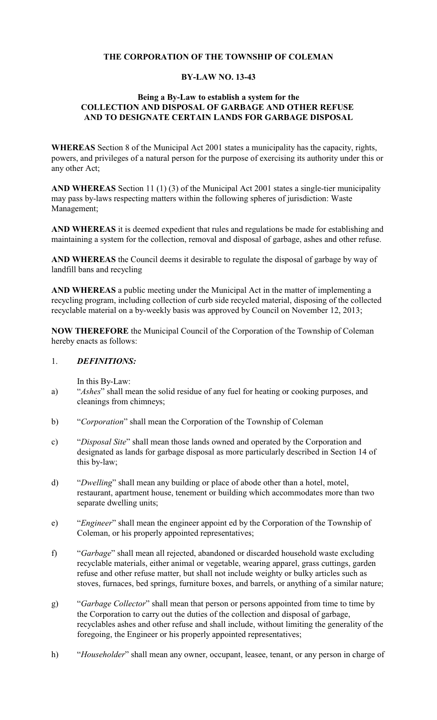## **THE CORPORATION OF THE TOWNSHIP OF COLEMAN**

#### **BY-LAW NO. 13-43**

## **Being a By-Law to establish a system for the COLLECTION AND DISPOSAL OF GARBAGE AND OTHER REFUSE AND TO DESIGNATE CERTAIN LANDS FOR GARBAGE DISPOSAL**

**WHEREAS** Section 8 of the Municipal Act 2001 states a municipality has the capacity, rights, powers, and privileges of a natural person for the purpose of exercising its authority under this or any other Act;

**AND WHEREAS** Section 11 (1) (3) of the Municipal Act 2001 states a single-tier municipality may pass by-laws respecting matters within the following spheres of jurisdiction: Waste Management;

**AND WHEREAS** it is deemed expedient that rules and regulations be made for establishing and maintaining a system for the collection, removal and disposal of garbage, ashes and other refuse.

**AND WHEREAS** the Council deems it desirable to regulate the disposal of garbage by way of landfill bans and recycling

**AND WHEREAS** a public meeting under the Municipal Act in the matter of implementing a recycling program, including collection of curb side recycled material, disposing of the collected recyclable material on a by-weekly basis was approved by Council on November 12, 2013;

**NOW THEREFORE** the Municipal Council of the Corporation of the Township of Coleman hereby enacts as follows:

#### 1. *DEFINITIONS:*

In this By-Law:

- a) "*Ashes*" shall mean the solid residue of any fuel for heating or cooking purposes, and cleanings from chimneys;
- b) "*Corporation*" shall mean the Corporation of the Township of Coleman
- c) "*Disposal Site*" shall mean those lands owned and operated by the Corporation and designated as lands for garbage disposal as more particularly described in Section 14 of this by-law;
- d) "*Dwelling*" shall mean any building or place of abode other than a hotel, motel, restaurant, apartment house, tenement or building which accommodates more than two separate dwelling units;
- e) "*Engineer*" shall mean the engineer appoint ed by the Corporation of the Township of Coleman, or his properly appointed representatives;
- f) "*Garbage*" shall mean all rejected, abandoned or discarded household waste excluding recyclable materials, either animal or vegetable, wearing apparel, grass cuttings, garden refuse and other refuse matter, but shall not include weighty or bulky articles such as stoves, furnaces, bed springs, furniture boxes, and barrels, or anything of a similar nature;
- g) "*Garbage Collector*" shall mean that person or persons appointed from time to time by the Corporation to carry out the duties of the collection and disposal of garbage, recyclables ashes and other refuse and shall include, without limiting the generality of the foregoing, the Engineer or his properly appointed representatives;
- h) "*Householder*" shall mean any owner, occupant, leasee, tenant, or any person in charge of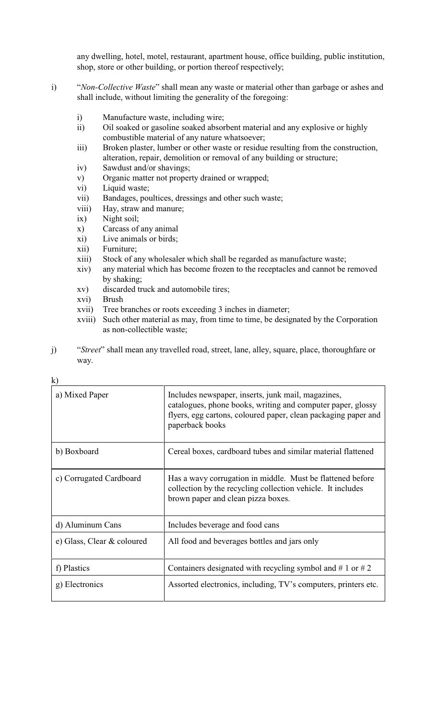any dwelling, hotel, motel, restaurant, apartment house, office building, public institution, shop, store or other building, or portion thereof respectively;

- i) "*Non-Collective Waste*" shall mean any waste or material other than garbage or ashes and shall include, without limiting the generality of the foregoing:
	- i) Manufacture waste, including wire;
	- ii) Oil soaked or gasoline soaked absorbent material and any explosive or highly combustible material of any nature whatsoever;
	- iii) Broken plaster, lumber or other waste or residue resulting from the construction, alteration, repair, demolition or removal of any building or structure;
	- iv) Sawdust and/or shavings;
	- v) Organic matter not property drained or wrapped;
	- vi) Liquid waste;
	- vii) Bandages, poultices, dressings and other such waste;
	- viii) Hay, straw and manure;
	- ix) Night soil;
	- x) Carcass of any animal
	- xi) Live animals or birds;
	- xii) Furniture;
	- xiii) Stock of any wholesaler which shall be regarded as manufacture waste;
	- xiv) any material which has become frozen to the receptacles and cannot be removed by shaking;
	- xv) discarded truck and automobile tires;
	- xvi) Brush
	- xvii) Tree branches or roots exceeding 3 inches in diameter;
	- xviii) Such other material as may, from time to time, be designated by the Corporation as non-collectible waste;
- j) "*Street*" shall mean any travelled road, street, lane, alley, square, place, thoroughfare or way.

| a) Mixed Paper             | Includes newspaper, inserts, junk mail, magazines,<br>catalogues, phone books, writing and computer paper, glossy<br>flyers, egg cartons, coloured paper, clean packaging paper and<br>paperback books |
|----------------------------|--------------------------------------------------------------------------------------------------------------------------------------------------------------------------------------------------------|
| b) Boxboard                | Cereal boxes, cardboard tubes and similar material flattened                                                                                                                                           |
| c) Corrugated Cardboard    | Has a wavy corrugation in middle. Must be flattened before<br>collection by the recycling collection vehicle. It includes<br>brown paper and clean pizza boxes.                                        |
| d) Aluminum Cans           | Includes beverage and food cans                                                                                                                                                                        |
| e) Glass, Clear & coloured | All food and beverages bottles and jars only                                                                                                                                                           |
| f) Plastics                | Containers designated with recycling symbol and # 1 or # 2                                                                                                                                             |
| g) Electronics             | Assorted electronics, including, TV's computers, printers etc.                                                                                                                                         |

k)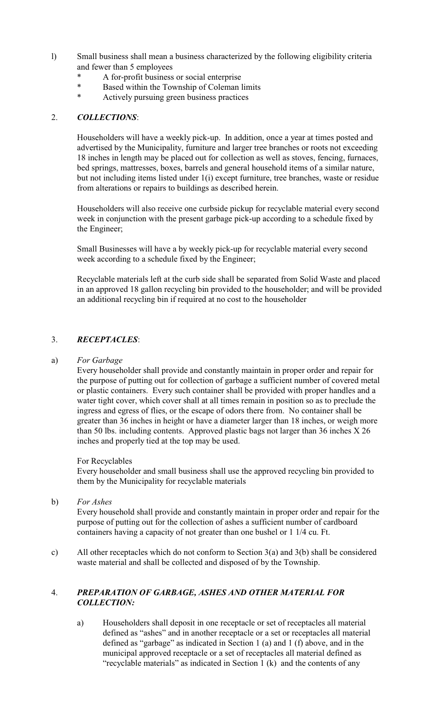- l) Small business shall mean a business characterized by the following eligibility criteria and fewer than 5 employees
	- \* A for-profit business or social enterprise
	- \* Based within the Township of Coleman limits
	- Actively pursuing green business practices

## 2. *COLLECTIONS*:

Householders will have a weekly pick-up. In addition, once a year at times posted and advertised by the Municipality, furniture and larger tree branches or roots not exceeding 18 inches in length may be placed out for collection as well as stoves, fencing, furnaces, bed springs, mattresses, boxes, barrels and general household items of a similar nature, but not including items listed under 1(i) except furniture, tree branches, waste or residue from alterations or repairs to buildings as described herein.

Householders will also receive one curbside pickup for recyclable material every second week in conjunction with the present garbage pick-up according to a schedule fixed by the Engineer;

Small Businesses will have a by weekly pick-up for recyclable material every second week according to a schedule fixed by the Engineer;

Recyclable materials left at the curb side shall be separated from Solid Waste and placed in an approved 18 gallon recycling bin provided to the householder; and will be provided an additional recycling bin if required at no cost to the householder

## 3. *RECEPTACLES*:

#### a) *For Garbage*

Every householder shall provide and constantly maintain in proper order and repair for the purpose of putting out for collection of garbage a sufficient number of covered metal or plastic containers. Every such container shall be provided with proper handles and a water tight cover, which cover shall at all times remain in position so as to preclude the ingress and egress of flies, or the escape of odors there from. No container shall be greater than 36 inches in height or have a diameter larger than 18 inches, or weigh more than 50 lbs. including contents. Approved plastic bags not larger than 36 inches X 26 inches and properly tied at the top may be used.

#### For Recyclables

Every householder and small business shall use the approved recycling bin provided to them by the Municipality for recyclable materials

b) *For Ashes*

Every household shall provide and constantly maintain in proper order and repair for the purpose of putting out for the collection of ashes a sufficient number of cardboard containers having a capacity of not greater than one bushel or 1 1/4 cu. Ft.

c) All other receptacles which do not conform to Section 3(a) and 3(b) shall be considered waste material and shall be collected and disposed of by the Township.

## 4. *PREPARATION OF GARBAGE, ASHES AND OTHER MATERIAL FOR COLLECTION:*

a) Householders shall deposit in one receptacle or set of receptacles all material defined as "ashes" and in another receptacle or a set or receptacles all material defined as "garbage" as indicated in Section 1 (a) and 1 (f) above, and in the municipal approved receptacle or a set of receptacles all material defined as "recyclable materials" as indicated in Section 1 (k) and the contents of any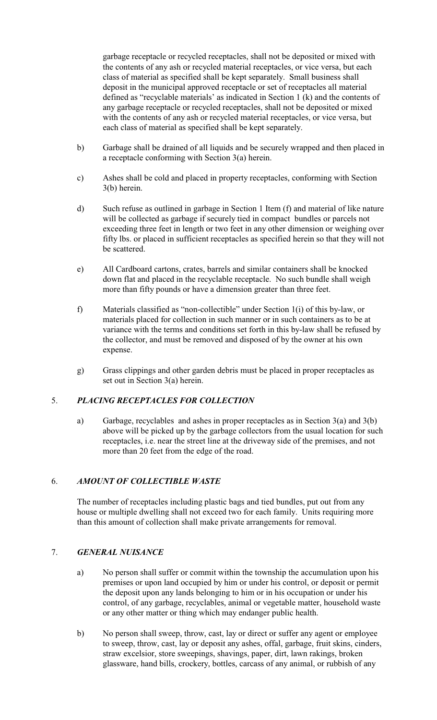garbage receptacle or recycled receptacles, shall not be deposited or mixed with the contents of any ash or recycled material receptacles, or vice versa, but each class of material as specified shall be kept separately. Small business shall deposit in the municipal approved receptacle or set of receptacles all material defined as "recyclable materials' as indicated in Section 1 (k) and the contents of any garbage receptacle or recycled receptacles, shall not be deposited or mixed with the contents of any ash or recycled material receptacles, or vice versa, but each class of material as specified shall be kept separately.

- b) Garbage shall be drained of all liquids and be securely wrapped and then placed in a receptacle conforming with Section 3(a) herein.
- c) Ashes shall be cold and placed in property receptacles, conforming with Section 3(b) herein.
- d) Such refuse as outlined in garbage in Section 1 Item (f) and material of like nature will be collected as garbage if securely tied in compact bundles or parcels not exceeding three feet in length or two feet in any other dimension or weighing over fifty lbs. or placed in sufficient receptacles as specified herein so that they will not be scattered.
- e) All Cardboard cartons, crates, barrels and similar containers shall be knocked down flat and placed in the recyclable receptacle. No such bundle shall weigh more than fifty pounds or have a dimension greater than three feet.
- f) Materials classified as "non-collectible" under Section 1(i) of this by-law, or materials placed for collection in such manner or in such containers as to be at variance with the terms and conditions set forth in this by-law shall be refused by the collector, and must be removed and disposed of by the owner at his own expense.
- g) Grass clippings and other garden debris must be placed in proper receptacles as set out in Section 3(a) herein.

## 5. *PLACING RECEPTACLES FOR COLLECTION*

a) Garbage, recyclables and ashes in proper receptacles as in Section 3(a) and 3(b) above will be picked up by the garbage collectors from the usual location for such receptacles, i.e. near the street line at the driveway side of the premises, and not more than 20 feet from the edge of the road.

## 6. *AMOUNT OF COLLECTIBLE WASTE*

The number of receptacles including plastic bags and tied bundles, put out from any house or multiple dwelling shall not exceed two for each family. Units requiring more than this amount of collection shall make private arrangements for removal.

#### 7. *GENERAL NUISANCE*

- a) No person shall suffer or commit within the township the accumulation upon his premises or upon land occupied by him or under his control, or deposit or permit the deposit upon any lands belonging to him or in his occupation or under his control, of any garbage, recyclables, animal or vegetable matter, household waste or any other matter or thing which may endanger public health.
- b) No person shall sweep, throw, cast, lay or direct or suffer any agent or employee to sweep, throw, cast, lay or deposit any ashes, offal, garbage, fruit skins, cinders, straw excelsior, store sweepings, shavings, paper, dirt, lawn rakings, broken glassware, hand bills, crockery, bottles, carcass of any animal, or rubbish of any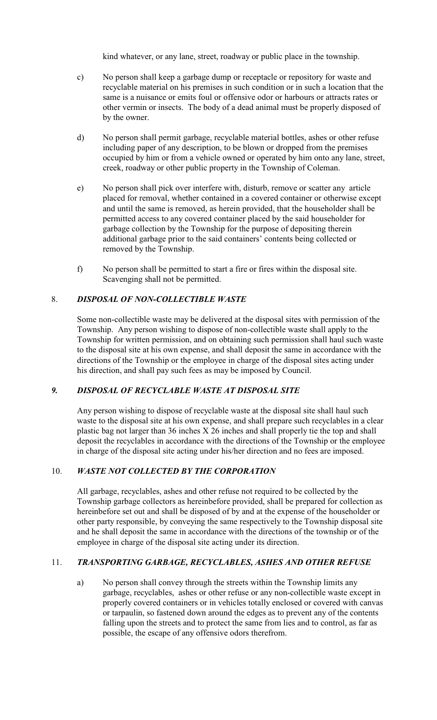kind whatever, or any lane, street, roadway or public place in the township.

- c) No person shall keep a garbage dump or receptacle or repository for waste and recyclable material on his premises in such condition or in such a location that the same is a nuisance or emits foul or offensive odor or harbours or attracts rates or other vermin or insects. The body of a dead animal must be properly disposed of by the owner.
- d) No person shall permit garbage, recyclable material bottles, ashes or other refuse including paper of any description, to be blown or dropped from the premises occupied by him or from a vehicle owned or operated by him onto any lane, street, creek, roadway or other public property in the Township of Coleman.
- e) No person shall pick over interfere with, disturb, remove or scatter any article placed for removal, whether contained in a covered container or otherwise except and until the same is removed, as herein provided, that the householder shall be permitted access to any covered container placed by the said householder for garbage collection by the Township for the purpose of depositing therein additional garbage prior to the said containers' contents being collected or removed by the Township.
- f) No person shall be permitted to start a fire or fires within the disposal site. Scavenging shall not be permitted.

## 8. *DISPOSAL OF NON-COLLECTIBLE WASTE*

Some non-collectible waste may be delivered at the disposal sites with permission of the Township. Any person wishing to dispose of non-collectible waste shall apply to the Township for written permission, and on obtaining such permission shall haul such waste to the disposal site at his own expense, and shall deposit the same in accordance with the directions of the Township or the employee in charge of the disposal sites acting under his direction, and shall pay such fees as may be imposed by Council.

## *9. DISPOSAL OF RECYCLABLE WASTE AT DISPOSAL SITE*

Any person wishing to dispose of recyclable waste at the disposal site shall haul such waste to the disposal site at his own expense, and shall prepare such recyclables in a clear plastic bag not larger than 36 inches X 26 inches and shall properly tie the top and shall deposit the recyclables in accordance with the directions of the Township or the employee in charge of the disposal site acting under his/her direction and no fees are imposed.

## 10. *WASTE NOT COLLECTED BY THE CORPORATION*

 All garbage, recyclables, ashes and other refuse not required to be collected by the Township garbage collectors as hereinbefore provided, shall be prepared for collection as hereinbefore set out and shall be disposed of by and at the expense of the householder or other party responsible, by conveying the same respectively to the Township disposal site and he shall deposit the same in accordance with the directions of the township or of the employee in charge of the disposal site acting under its direction.

## 11. *TRANSPORTING GARBAGE, RECYCLABLES, ASHES AND OTHER REFUSE*

a) No person shall convey through the streets within the Township limits any garbage, recyclables, ashes or other refuse or any non-collectible waste except in properly covered containers or in vehicles totally enclosed or covered with canvas or tarpaulin, so fastened down around the edges as to prevent any of the contents falling upon the streets and to protect the same from lies and to control, as far as possible, the escape of any offensive odors therefrom.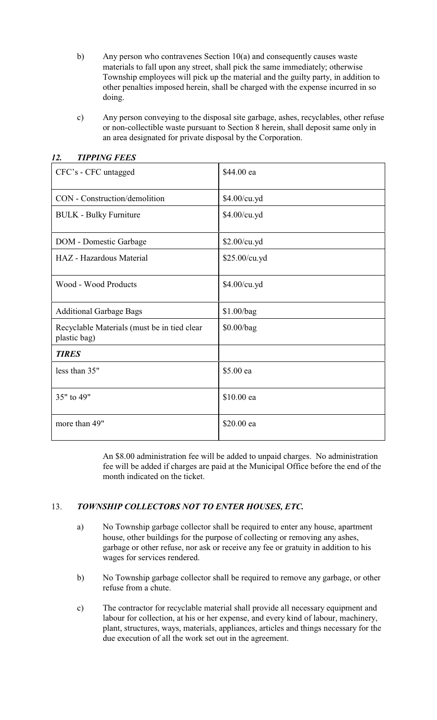- b) Any person who contravenes Section 10(a) and consequently causes waste materials to fall upon any street, shall pick the same immediately; otherwise Township employees will pick up the material and the guilty party, in addition to other penalties imposed herein, shall be charged with the expense incurred in so doing.
- c) Any person conveying to the disposal site garbage, ashes, recyclables, other refuse or non-collectible waste pursuant to Section 8 herein, shall deposit same only in an area designated for private disposal by the Corporation.

| CFC's - CFC untagged                                        | \$44.00 ea    |
|-------------------------------------------------------------|---------------|
| CON - Construction/demolition                               | \$4.00/cu.yd  |
| <b>BULK - Bulky Furniture</b>                               | \$4.00/cu.yd  |
| DOM - Domestic Garbage                                      | \$2.00/cu.yd  |
| HAZ - Hazardous Material                                    | \$25.00/cu.yd |
| Wood - Wood Products                                        | \$4.00/cu.yd  |
| <b>Additional Garbage Bags</b>                              | \$1.00/bag    |
| Recyclable Materials (must be in tied clear<br>plastic bag) | \$0.00/bag    |
| <b>TIRES</b>                                                |               |
| less than 35"                                               | \$5.00 ea     |
| 35" to 49"                                                  | \$10.00 ea    |
| more than 49"                                               | \$20.00 ea    |

## *12. TIPPING FEES*

An \$8.00 administration fee will be added to unpaid charges. No administration fee will be added if charges are paid at the Municipal Office before the end of the month indicated on the ticket.

## 13. *TOWNSHIP COLLECTORS NOT TO ENTER HOUSES, ETC.*

- a) No Township garbage collector shall be required to enter any house, apartment house, other buildings for the purpose of collecting or removing any ashes, garbage or other refuse, nor ask or receive any fee or gratuity in addition to his wages for services rendered.
- b) No Township garbage collector shall be required to remove any garbage, or other refuse from a chute.
- c) The contractor for recyclable material shall provide all necessary equipment and labour for collection, at his or her expense, and every kind of labour, machinery, plant, structures, ways, materials, appliances, articles and things necessary for the due execution of all the work set out in the agreement.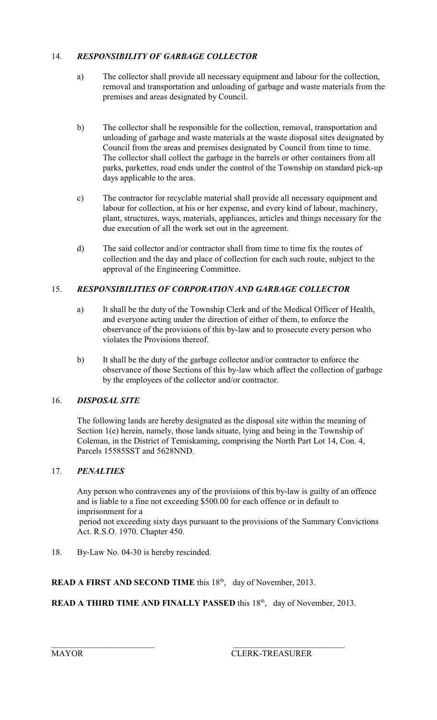# 14. *RESPONSIBILITY OF GARBAGE COLLECTOR*

- a) The collector shall provide all necessary equipment and labour for the collection, removal and transportation and unloading of garbage and waste materials from the premises and areas designated by Council.
- b) The collector shall be responsible for the collection, removal, transportation and unloading of garbage and waste materials at the waste disposal sites designated by Council from the areas and premises designated by Council from time to time. The collector shall collect the garbage in the barrels or other containers from all parks, parkettes, road ends under the control of the Township on standard pick-up days applicable to the area.
- c) The contractor for recyclable material shall provide all necessary equipment and labour for collection, at his or her expense, and every kind of labour, machinery, plant, structures, ways, materials, appliances, articles and things necessary for the due execution of all the work set out in the agreement.
- d) The said collector and/or contractor shall from time to time fix the routes of collection and the day and place of collection for each such route, subject to the approval of the Engineering Committee.

# 15. *RESPONSIBILITIES OF CORPORATION AND GARBAGE COLLECTOR*

- a) It shall be the duty of the Township Clerk and of the Medical Officer of Health, and everyone acting under the direction of either of them, to enforce the observance of the provisions of this by-law and to prosecute every person who violates the Provisions thereof.
- b) It shall be the duty of the garbage collector and/or contractor to enforce the observance of those Sections of this by-law which affect the collection of garbage by the employees of the collector and/or contractor.

# 16. *DISPOSAL SITE*

The following lands are hereby designated as the disposal site within the meaning of Section 1(e) herein, namely, those lands situate, lying and being in the Township of Coleman, in the District of Temiskaming, comprising the North Part Lot 14, Con. 4, Parcels 15585SST and 5628NND.

# 17. *PENALTIES*

Any person who contravenes any of the provisions of this by-law is guilty of an offence and is liable to a fine not exceeding \$500.00 for each offence or in default to imprisonment for a period not exceeding sixty days pursuant to the provisions of the Summary Convictions Act. R.S.O. 1970. Chapter 450.

18. By-Law No. 04-30 is hereby rescinded.

# **READ A FIRST AND SECOND TIME** this 18<sup>th</sup>, day of November, 2013.

# **READ A THIRD TIME AND FINALLY PASSED** this 18<sup>th</sup>, day of November, 2013.